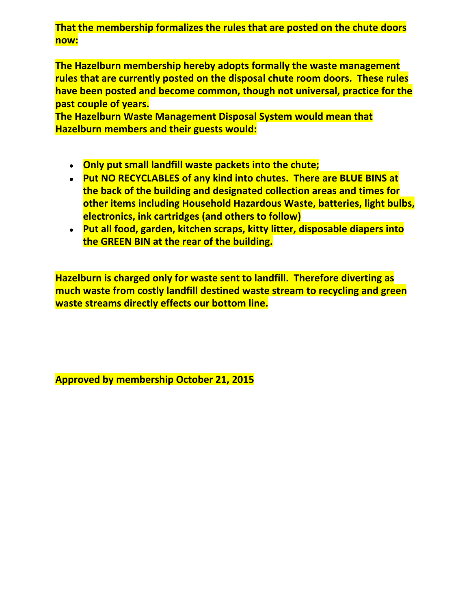**That the membership formalizes the rules that are posted on the chute doors now:**

**The Hazelburn membership hereby adopts formally the waste management rules that are currently posted on the disposal chute room doors. These rules have been posted and become common, though not universal, practice for the past couple of years.**

**The Hazelburn Waste Management Disposal System would mean that Hazelburn members and their guests would:**

- **Only put small landfill waste packets into the chute;**
- **Put NO RECYCLABLES of any kind into chutes. There are BLUE BINS at the back of the building and designated collection areas and times for other items including Household Hazardous Waste, batteries, light bulbs, electronics, ink cartridges (and others to follow)**
- **Put all food, garden, kitchen scraps, kitty litter, disposable diapers into the GREEN BIN at the rear of the building.**

**Hazelburn is charged only for waste sent to landfill. Therefore diverting as much waste from costly landfill destined waste stream to recycling and green waste streams directly effects our bottom line.**

**Approved by membership October 21, 2015**